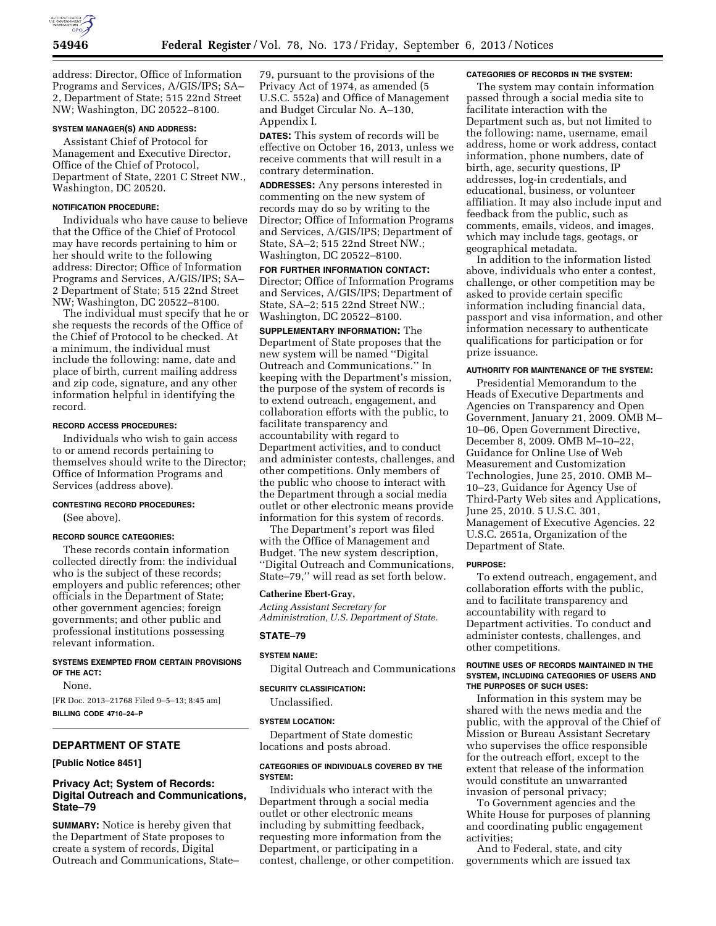

address: Director, Office of Information Programs and Services, A/GIS/IPS; SA– 2, Department of State; 515 22nd Street NW; Washington, DC 20522–8100.

#### **SYSTEM MANAGER(S) AND ADDRESS:**

Assistant Chief of Protocol for Management and Executive Director, Office of the Chief of Protocol, Department of State, 2201 C Street NW., Washington, DC 20520.

## **NOTIFICATION PROCEDURE:**

Individuals who have cause to believe that the Office of the Chief of Protocol may have records pertaining to him or her should write to the following address: Director; Office of Information Programs and Services, A/GIS/IPS; SA– 2 Department of State; 515 22nd Street NW; Washington, DC 20522–8100.

The individual must specify that he or she requests the records of the Office of the Chief of Protocol to be checked. At a minimum, the individual must include the following: name, date and place of birth, current mailing address and zip code, signature, and any other information helpful in identifying the record.

### **RECORD ACCESS PROCEDURES:**

Individuals who wish to gain access to or amend records pertaining to themselves should write to the Director; Office of Information Programs and Services (address above).

## **CONTESTING RECORD PROCEDURES:**  (See above).

# **RECORD SOURCE CATEGORIES:**

These records contain information collected directly from: the individual who is the subject of these records; employers and public references; other officials in the Department of State; other government agencies; foreign governments; and other public and professional institutions possessing relevant information.

#### **SYSTEMS EXEMPTED FROM CERTAIN PROVISIONS OF THE ACT:**

None.

[FR Doc. 2013–21768 Filed 9–5–13; 8:45 am] **BILLING CODE 4710–24–P** 

## **DEPARTMENT OF STATE**

## **[Public Notice 8451]**

## **Privacy Act; System of Records: Digital Outreach and Communications, State–79**

**SUMMARY:** Notice is hereby given that the Department of State proposes to create a system of records, Digital Outreach and Communications, State– 79, pursuant to the provisions of the Privacy Act of 1974, as amended (5 U.S.C. 552a) and Office of Management and Budget Circular No. A–130, Appendix I.

**DATES:** This system of records will be effective on October 16, 2013, unless we receive comments that will result in a contrary determination.

**ADDRESSES:** Any persons interested in commenting on the new system of records may do so by writing to the Director; Office of Information Programs and Services, A/GIS/IPS; Department of State, SA–2; 515 22nd Street NW.; Washington, DC 20522–8100.

**FOR FURTHER INFORMATION CONTACT:**  Director; Office of Information Programs and Services, A/GIS/IPS; Department of State, SA–2; 515 22nd Street NW.; Washington, DC 20522–8100.

**SUPPLEMENTARY INFORMATION:** The Department of State proposes that the new system will be named ''Digital Outreach and Communications.'' In keeping with the Department's mission, the purpose of the system of records is to extend outreach, engagement, and collaboration efforts with the public, to facilitate transparency and accountability with regard to Department activities, and to conduct and administer contests, challenges, and other competitions. Only members of the public who choose to interact with the Department through a social media outlet or other electronic means provide information for this system of records.

The Department's report was filed with the Office of Management and Budget. The new system description, ''Digital Outreach and Communications, State–79,'' will read as set forth below.

### **Catherine Ebert-Gray,**

*Acting Assistant Secretary for Administration, U.S. Department of State.* 

## **STATE–79**

## **SYSTEM NAME:**

Digital Outreach and Communications

## **SECURITY CLASSIFICATION:**

Unclassified.

### **SYSTEM LOCATION:**

Department of State domestic locations and posts abroad.

## **CATEGORIES OF INDIVIDUALS COVERED BY THE SYSTEM:**

Individuals who interact with the Department through a social media outlet or other electronic means including by submitting feedback, requesting more information from the Department, or participating in a contest, challenge, or other competition.

#### **CATEGORIES OF RECORDS IN THE SYSTEM:**

The system may contain information passed through a social media site to facilitate interaction with the Department such as, but not limited to the following: name, username, email address, home or work address, contact information, phone numbers, date of birth, age, security questions, IP addresses, log-in credentials, and educational, business, or volunteer affiliation. It may also include input and feedback from the public, such as comments, emails, videos, and images, which may include tags, geotags, or geographical metadata.

In addition to the information listed above, individuals who enter a contest, challenge, or other competition may be asked to provide certain specific information including financial data, passport and visa information, and other information necessary to authenticate qualifications for participation or for prize issuance.

## **AUTHORITY FOR MAINTENANCE OF THE SYSTEM:**

Presidential Memorandum to the Heads of Executive Departments and Agencies on Transparency and Open Government, January 21, 2009. OMB M– 10–06, Open Government Directive, December 8, 2009. OMB M–10–22, Guidance for Online Use of Web Measurement and Customization Technologies, June 25, 2010. OMB M– 10–23, Guidance for Agency Use of Third-Party Web sites and Applications, June 25, 2010. 5 U.S.C. 301, Management of Executive Agencies. 22 U.S.C. 2651a, Organization of the Department of State.

## **PURPOSE:**

To extend outreach, engagement, and collaboration efforts with the public, and to facilitate transparency and accountability with regard to Department activities. To conduct and administer contests, challenges, and other competitions.

#### **ROUTINE USES OF RECORDS MAINTAINED IN THE SYSTEM, INCLUDING CATEGORIES OF USERS AND THE PURPOSES OF SUCH USES:**

Information in this system may be shared with the news media and the public, with the approval of the Chief of Mission or Bureau Assistant Secretary who supervises the office responsible for the outreach effort, except to the extent that release of the information would constitute an unwarranted invasion of personal privacy;

To Government agencies and the White House for purposes of planning and coordinating public engagement activities;

And to Federal, state, and city governments which are issued tax